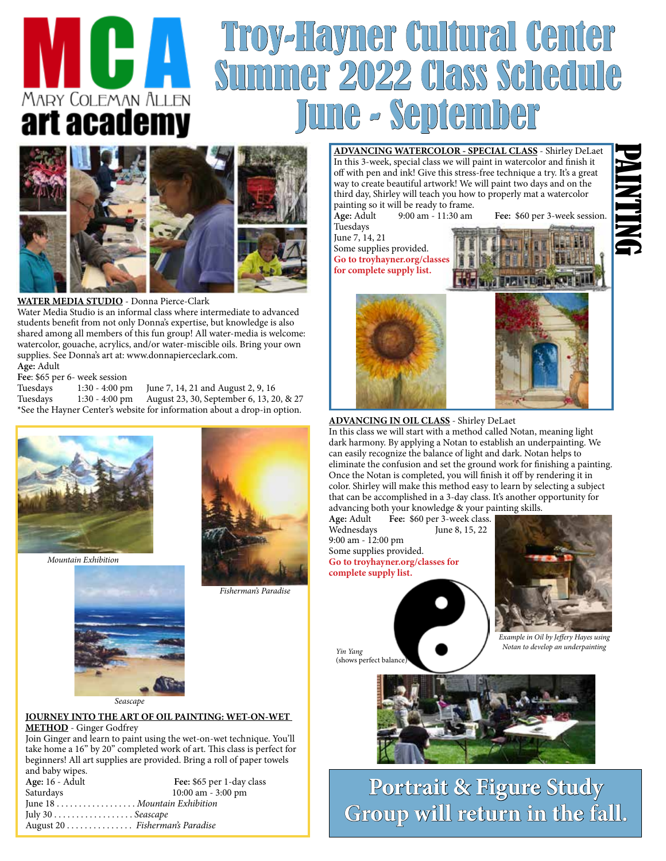

# Troy-Hayner Cultural Center ner 2022 Class Schedule June - September



### **WATER MEDIA STUDIO** - Donna Pierce-Clark

Water Media Studio is an informal class where intermediate to advanced students benefit from not only Donna's expertise, but knowledge is also shared among all members of this fun group! All water-media is welcome: watercolor, gouache, acrylics, and/or water-miscible oils. Bring your own supplies. See Donna's art at: www.donnapierceclark.com. **Age:** Adult

Fee: \$65 per 6- week session<br>Tuesdays 1:30 - 4:00 pm Tuesdays 1:30 - 4:00 pm June 7, 14, 21 and August 2, 9, 16<br>Tuesdays 1:30 - 4:00 pm August 23, 30, September 6, 13, 20 August 23, 30, September 6, 13, 20, & 27 \*See the Hayner Center's website for information about a drop-in option.



*Mountain Exhibition*



*Fisherman's Paradise*

**ADVANCING WATERCOLOR - SPECIAL CLASS** - Shirley DeLaet In this 3-week, special class we will paint in watercolor and finish it off with pen and ink! Give this stress-free technique a try. It's a great way to create beautiful artwork! We will paint two days and on the third day, Shirley will teach you how to properly mat a watercolor

painting so it will be ready to frame.<br>Age: Adult 9:00 am - 11:30 am Tuesdays June 7, 14, 21 Some supplies provided. **Go to troyhayner.org/classes**

**for complete supply list.**



PAINTING





### **ADVANCING IN OIL CLASS** - Shirley DeLaet

In this class we will start with a method called Notan, meaning light dark harmony. By applying a Notan to establish an underpainting. We can easily recognize the balance of light and dark. Notan helps to eliminate the confusion and set the ground work for finishing a painting. Once the Notan is completed, you will finish it off by rendering it in color. Shirley will make this method easy to learn by selecting a subject that can be accomplished in a 3-day class. It's another opportunity for advancing both your knowledge & your painting skills.

**Age:** Adult **Fee:** \$60 per 3-week class.<br>Wednesdays June 8, 15, 22 June 8, 15, 22 9:00 am - 12:00 pm Some supplies provided. **Go to troyhayner.org/classes for complete supply list.**

(shows perfect bala



*Example in Oil by Jeffery Hayes using Notan to develop an underpainting Yin Yang* 



**Portrait & Figure Study Group will return in the fall.**



*Seascape*

### **JOURNEY INTO THE ART OF OIL PAINTING: WET-ON-WET METHOD** - Ginger Godfrey

Join Ginger and learn to paint using the wet-on-wet technique. You'll take home a 16" by 20" completed work of art. This class is perfect for beginners! All art supplies are provided. Bring a roll of paper towels

| and baby wipes.  |                                |
|------------------|--------------------------------|
| Age: 16 - Adult  | Fee: \$65 per 1-day class      |
| Saturdays        | $10:00$ am - 3:00 pm           |
|                  | June 18 Mountain Exhibition    |
| July 30 Seascape |                                |
|                  | August 20 Fisherman's Paradise |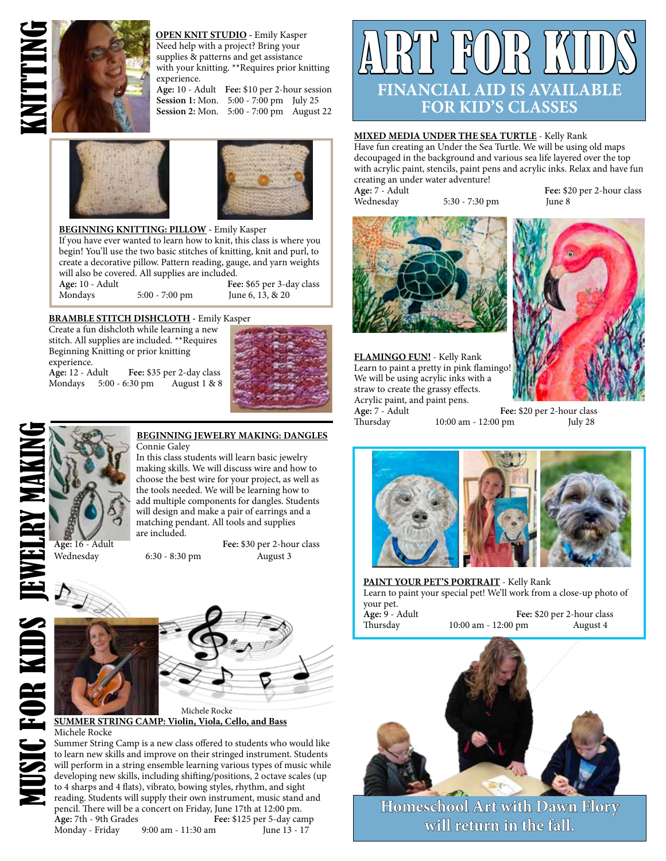

 **OPEN KNIT STUDIO -** Emily Kasper Need help with a project? Bring your supplies & patterns and get assistance with your knitting. \*\*Requires prior knitting experience.

 **Age:** 10 - Adult **Fee:** \$10 per 2-hour session **Session 1:** Mon. 5:00 - 7:00 pm July 25 **Session 2:** Mon. 5:00 - 7:00 pm August 22





### **BEGINNING KNITTING: PILLOW -** Emily Kasper

If you have ever wanted to learn how to knit, this class is where you begin! You'll use the two basic stitches of knitting, knit and purl, to create a decorative pillow. Pattern reading, gauge, and yarn weights will also be covered. All supplies are included.<br>Age: 10 - Adult Fee

**Fee:** \$65 per 3-day class<br>5:00 - 7:00 pm<br>June 6, 13, & 20 Mondays 5:00 - 7:00 pm June 6, 13, & 20

### **BRAMBLE STITCH DISHCLOTH -** Emily Kasper

Create a fun dishcloth while learning a new stitch. All supplies are included. \*\*Requires Beginning Knitting or prior knitting experience.

**Age:** 12 - Adult **Fee:** \$35 per 2-day class Mondays 5:00 - 6:30 pm August 1 & 8





## Connie Galey

**EEGINNING LEWELRY MAKING: DANGLES**<br>
Connie Galey<br>
In this class students will learn basic jewelry<br>
making skills. We will discuss wire and how to<br>
choose the best wire for your project, as well as<br>
the tools needed. We wi In this class students will learn basic jewelry making skills. We will discuss wire and how to choose the best wire for your project, as well as the tools needed. We will be learning how to add multiple components for dangles. Students will design and make a pair of earrings and a matching pendant. All tools and supplies

6:30 - 8:30 pm August 3





**SUMMER STRING CAMP: Violin, Viola, Cello, and Bass** Michele Rocke

Summer String Camp is a new class offered to students who would like to learn new skills and improve on their stringed instrument. Students will perform in a string ensemble learning various types of music while developing new skills, including shifting/positions, 2 octave scales (up to 4 sharps and 4 flats), vibrato, bowing styles, rhythm, and sight reading. Students will supply their own instrument, music stand and pencil. There will be a concert on Friday, June 17th at 12:00 pm. **Age:** 7th - 9th Grades **Fee:** \$125 per 5-day camp 9:00 am - 11:30 am

Michele Rocke



### **MIXED MEDIA UNDER THE SEA TURTLE** - Kelly Rank

Have fun creating an Under the Sea Turtle. We will be using old maps decoupaged in the background and various sea life layered over the top with acrylic paint, stencils, paint pens and acrylic inks. Relax and have fun creating an under water adventure!<br>Age: 7 - Adult

Wednesday 5:30 - 7:30 pm June 8

Fee: \$20 per 2-hour class





**FLAMINGO FUN!** - Kelly Rank Learn to paint a pretty in pink flamingo! We will be using acrylic inks with a straw to create the grassy effects. Acrylic paint, and paint pens.<br>Age: 7 - Adult **Age:** 7 - Adult **Fee:** \$20 per 2-hour class<br>Thursday 10:00 am - 12:00 pm **I** luly 28  $10:00$  am -  $12:00$  pm



**PAINT YOUR PET'S PORTRAIT** - Kelly Rank Learn to paint your special pet! We'll work from a close-up photo of your pet.<br>Age: 9 - Adult

Fee: \$20 per 2-hour class Thursday 10:00 am - 12:00 pm August 4



**Homeschool Art with Dawn Flory will return in the fall.**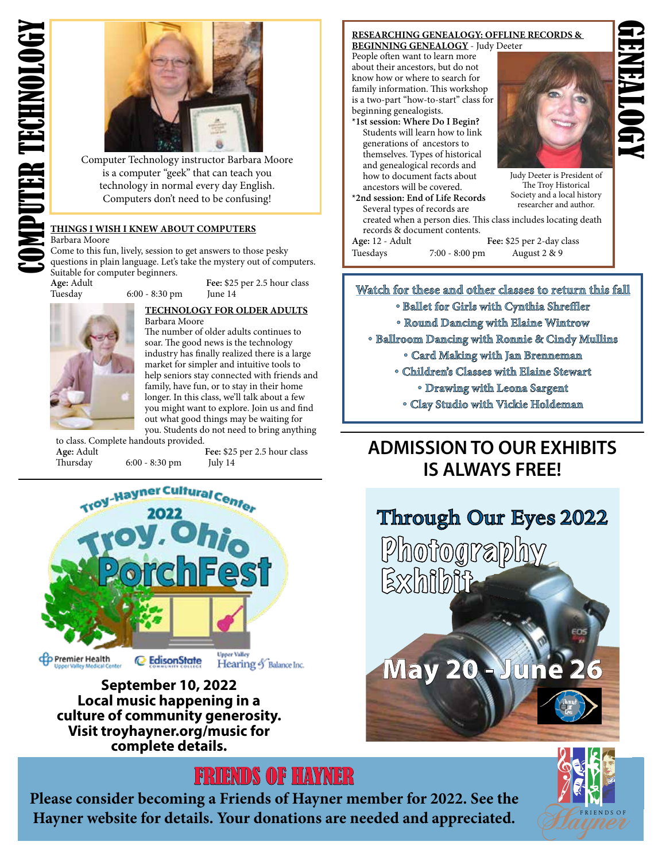

Computer Technology instructor Barbara Moore is a computer "geek" that can teach you technology in normal every day English. Computers don't need to be confusing!

Barbara Moore

Come to this fun, lively, session to get answers to those pesky questions in plain language. Let's take the mystery out of computers. Suitable for computer beginners.

**Age:** Adult **Fee:** \$25 per 2.5 hour class

Tuesday 6:00 - 8:30 pm June 14

### **TECHNOLOGY FOR OLDER ADULTS** Barbara Moore



 The number of older adults continues to soar. The good news is the technology industry has finally realized there is a large market for simpler and intuitive tools to help seniors stay connected with friends and family, have fun, or to stay in their home longer. In this class, we'll talk about a few you might want to explore. Join us and find out what good things may be waiting for you. Students do not need to bring anything to class. Complete handouts provided.

**Age:** Adult **Fee:** \$25 per 2.5 hour class Thursday 6:00 - 8:30 pm July 14



**September 10, 2022 Local music happening in a culture of community generosity. Visit troyhayner.org/music for complete details.**

### **RESEARCHING GENEALOGY: OFFLINE RECORDS & BEGINNING GENEALOGY** - Judy Deeter

People often want to learn more about their ancestors, but do not know how or where to search for family information. This workshop is a two-part "how-to-start" class for beginning genealogists.

**\*1st session: Where Do I Begin?** Students will learn how to link generations of ancestors to themselves. Types of historical and genealogical records and how to document facts about ancestors will be covered.

**\*2nd session: End of Life Records** Several types of records are created when a person dies. This class includes locating death records & document contents.



Judy Deeter is President of The Troy Historical Society and a local history researcher and author.

**Watch for these and other classes to return this fall** 

• **Ballet for Girls with Cynthia Shreffler**

- **Round Dancing with Elaine Wintrow**
- **Ballroom Dancing with Ronnie & Cindy Mullins**
	- **Card Making with Jan Brenneman**
	- **Children's Classes with Elaine Stewart**
		- **Drawing with Leona Sargent**
		- **Clay Studio with Vickie Holdeman**

# **ADMISSION TO OUR EXHIBITS IS ALWAYS FREE!**



# FRIENDS OF HAYNER

**Please consider becoming a Friends of Hayner member for 2022. See the Hayner website for details. Your donations are needed and appreciated.**